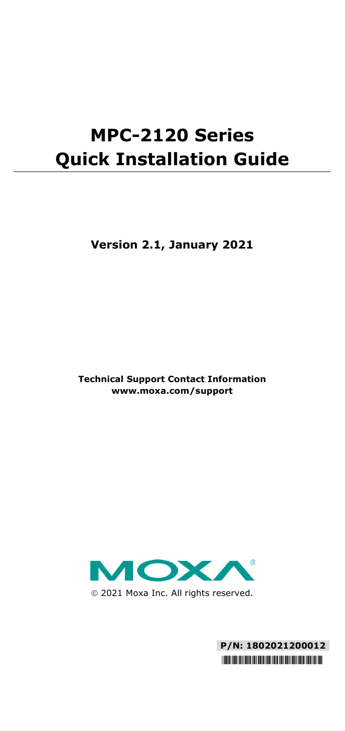# **MPC-2120 Series Quick Installation Guide**

**Version 2.1, January 2021**

**Technical Support Contact Information www.moxa.com/support**



2021 Moxa Inc. All rights reserved.

**P/N: 1802021200012** \*1802021200012\*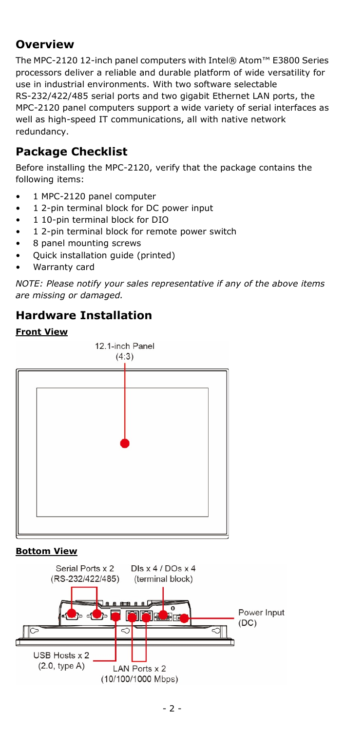# **Overview**

The MPC-2120 12-inch panel computers with Intel® Atom™ E3800 Series processors deliver a reliable and durable platform of wide versatility for use in industrial environments. With two software selectable RS-232/422/485 serial ports and two gigabit Ethernet LAN ports, the MPC-2120 panel computers support a wide variety of serial interfaces as well as high-speed IT communications, all with native network redundancy.

# **Package Checklist**

Before installing the MPC-2120, verify that the package contains the following items:

- 1 MPC-2120 panel computer
- 1 2-pin terminal block for DC power input
- 1 10-pin terminal block for DIO
- 1 2-pin terminal block for remote power switch
- 8 panel mounting screws
- Quick installation guide (printed)
- Warranty card

*NOTE: Please notify your sales representative if any of the above items are missing or damaged.*

# **Hardware Installation**

#### **Front View**



## **Bottom View**

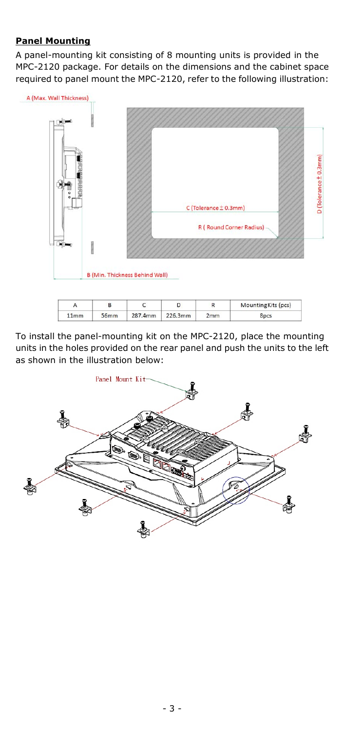#### **Panel Mounting**

A panel-mounting kit consisting of 8 mounting units is provided in the MPC-2120 package. For details on the dimensions and the cabinet space required to panel mount the MPC-2120, refer to the following illustration:



|      |         |         |     | Mounting Kits (pcs) |
|------|---------|---------|-----|---------------------|
| 11mm | 287.4mm | 226.3mm | 'mm |                     |

To install the panel-mounting kit on the MPC-2120, place the mounting units in the holes provided on the rear panel and push the units to the left as shown in the illustration below:

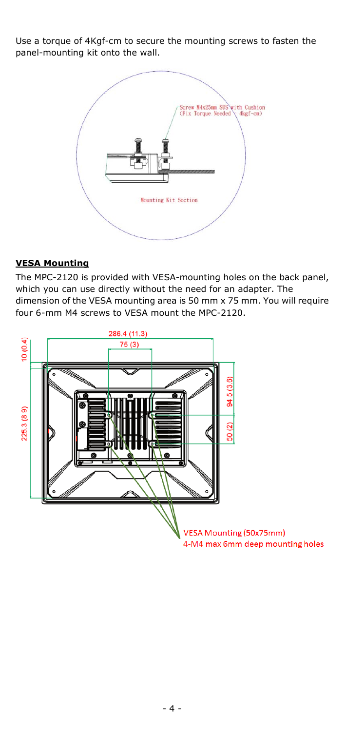Use a torque of 4Kgf-cm to secure the mounting screws to fasten the panel-mounting kit onto the wall.



#### **VESA Mounting**

The MPC-2120 is provided with VESA-mounting holes on the back panel, which you can use directly without the need for an adapter. The dimension of the VESA mounting area is 50 mm x 75 mm. You will require four 6-mm M4 screws to VESA mount the MPC-2120.

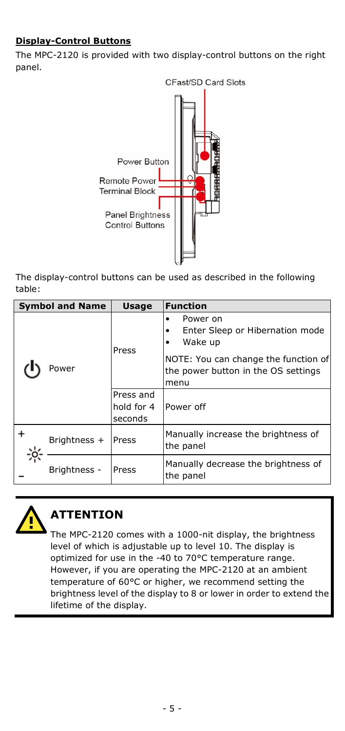# **Display-Control Buttons**

The MPC-2120 is provided with two display-control buttons on the right panel.



The display-control buttons can be used as described in the following table:

| <b>Symbol and Name</b> |              | <b>Usage</b>                       | <b>Function</b>                                                                                                                               |
|------------------------|--------------|------------------------------------|-----------------------------------------------------------------------------------------------------------------------------------------------|
|                        | Power        | Press                              | Power on<br>Enter Sleep or Hibernation mode<br>Wake up<br>NOTE: You can change the function of<br>the power button in the OS settings<br>menu |
|                        |              | Press and<br>hold for 4<br>seconds | Power off                                                                                                                                     |
|                        | Brightness + | Press                              | Manually increase the brightness of<br>the panel                                                                                              |
|                        | Brightness - | Press                              | Manually decrease the brightness of<br>the panel                                                                                              |



# **ATTENTION**

The MPC-2120 comes with a 1000-nit display, the brightness level of which is adjustable up to level 10. The display is optimized for use in the -40 to 70°C temperature range. However, if you are operating the MPC-2120 at an ambient temperature of 60°C or higher, we recommend setting the brightness level of the display to 8 or lower in order to extend the lifetime of the display.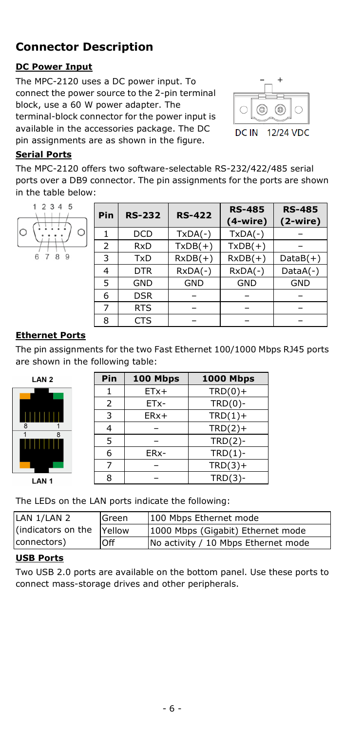# **Connector Description**

# **DC Power Input**

The MPC-2120 uses a DC power input. To connect the power source to the 2-pin terminal block, use a 60 W power adapter. The terminal-block connector for the power input is available in the accessories package. The DC pin assignments are as shown in the figure.



## **Serial Ports**

The MPC-2120 offers two software-selectable RS-232/422/485 serial ports over a DB9 connector. The pin assignments for the ports are shown in the table below:



| Pin | <b>RS-232</b> | <b>RS-422</b> | <b>RS-485</b><br>$(4-wire)$ | <b>RS-485</b><br>$(2-wire)$ |
|-----|---------------|---------------|-----------------------------|-----------------------------|
|     | <b>DCD</b>    | $TxDA(-)$     | $TxDA(-)$                   |                             |
| 2   | <b>RxD</b>    | $TxDB(+)$     | $TxDB(+)$                   |                             |
| 3   | TxD           | $RxDB(+)$     | $RxDB(+)$                   | $DataB(+)$                  |
| 4   | <b>DTR</b>    | $RxDA(-)$     | $RxDA(-)$                   | $DataA(-)$                  |
| 5   | <b>GND</b>    | <b>GND</b>    | <b>GND</b>                  | <b>GND</b>                  |
| 6   | <b>DSR</b>    |               |                             |                             |
|     | <b>RTS</b>    |               |                             |                             |
| 8   | CTS           |               |                             |                             |

## **Ethernet Ports**

The pin assignments for the two Fast Ethernet 100/1000 Mbps RJ45 ports are shown in the following table:



| Pin            | 100 Mbps | <b>1000 Mbps</b> |
|----------------|----------|------------------|
| 1              | $ETx+$   | $TRD(0) +$       |
| $\overline{2}$ | ETx-     | $TRD(0)$ -       |
| 3              | $ERx+$   | $TRD(1) +$       |
| 4              |          | $TRD(2) +$       |
| 5              |          | $TRD(2)$ -       |
| 6              | ERx-     | $TRD(1)$ -       |
| 7              |          | $TRD(3) +$       |
| 8              |          | $TRD(3)-$        |

The LEDs on the LAN ports indicate the following:

| LAN 1/LAN 2        | Green       | 100 Mbps Ethernet mode              |  |
|--------------------|-------------|-------------------------------------|--|
| (indicators on the | Yellow      | 1000 Mbps (Gigabit) Ethernet mode   |  |
| connectors)        | <b>IOff</b> | No activity / 10 Mbps Ethernet mode |  |
|                    |             |                                     |  |

#### **USB Ports**

Two USB 2.0 ports are available on the bottom panel. Use these ports to connect mass-storage drives and other peripherals.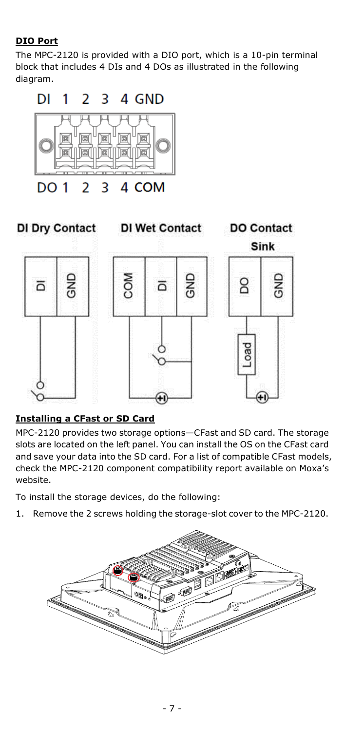# **DIO Port**

The MPC-2120 is provided with a DIO port, which is a 10-pin terminal block that includes 4 DIs and 4 DOs as illustrated in the following diagram.





# **Installing a CFast or SD Card**

MPC-2120 provides two storage options—CFast and SD card. The storage slots are located on the left panel. You can install the OS on the CFast card and save your data into the SD card. For a list of compatible CFast models, check the MPC-2120 component compatibility report available on Moxa's website.

To install the storage devices, do the following:

1. Remove the 2 screws holding the storage-slot cover to the MPC-2120.

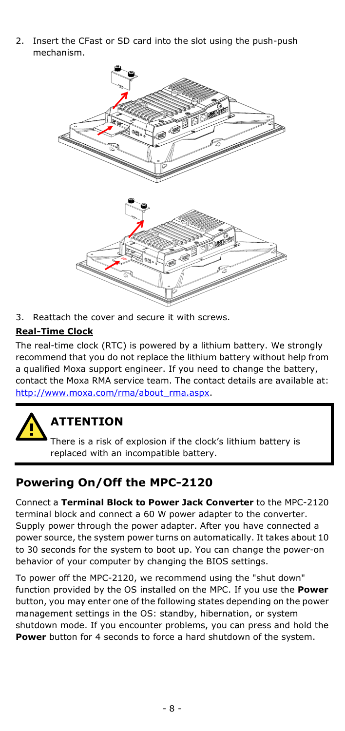2. Insert the CFast or SD card into the slot using the push-push mechanism.



3. Reattach the cover and secure it with screws.

#### **Real-Time Clock**

The real-time clock (RTC) is powered by a lithium battery. We strongly recommend that you do not replace the lithium battery without help from a qualified Moxa support engineer. If you need to change the battery, contact the Moxa RMA service team. The contact details are available at: [http://www.moxa.com/rma/about\\_rma.aspx.](http://www.moxa.com/rma/about_rma.aspx)



# **ATTENTION**

There is a risk of explosion if the clock's lithium battery is replaced with an incompatible battery.

# **Powering On/Off the MPC-2120**

Connect a **Terminal Block to Power Jack Converter** to the MPC-2120 terminal block and connect a 60 W power adapter to the converter. Supply power through the power adapter. After you have connected a power source, the system power turns on automatically. It takes about 10 to 30 seconds for the system to boot up. You can change the power-on behavior of your computer by changing the BIOS settings.

To power off the MPC-2120, we recommend using the "shut down" function provided by the OS installed on the MPC. If you use the **Power** button, you may enter one of the following states depending on the power management settings in the OS: standby, hibernation, or system shutdown mode. If you encounter problems, you can press and hold the **Power** button for 4 seconds to force a hard shutdown of the system.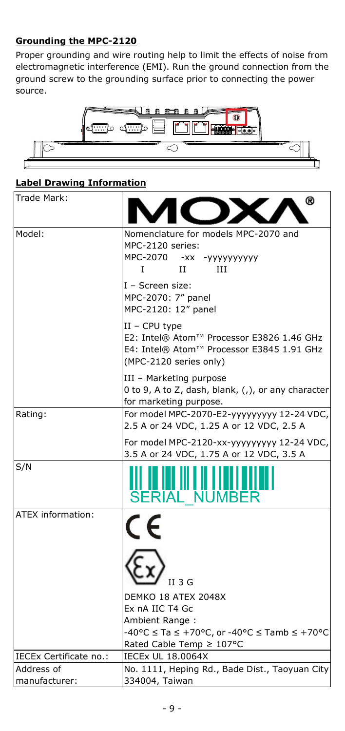## **Grounding the MPC-2120**

Proper grounding and wire routing help to limit the effects of noise from electromagnetic interference (EMI). Run the ground connection from the ground screw to the grounding surface prior to connecting the power source.



## **Label Drawing Information**

| Trade Mark:                 | ඹ                                                                                                                                                          |  |  |  |
|-----------------------------|------------------------------------------------------------------------------------------------------------------------------------------------------------|--|--|--|
| Model:                      | Nomenclature for models MPC-2070 and<br>MPC-2120 series:<br>MPC-2070 -xx<br>-уууууууууу<br>L<br>Π<br>ĦТ<br>I - Screen size:<br>MPC-2070: 7" panel          |  |  |  |
|                             | MPC-2120: 12" panel<br>$II - CPU$ type<br>E2: Intel® Atom™ Processor E3826 1.46 GHz<br>E4: Intel® Atom™ Processor E3845 1.91 GHz<br>(MPC-2120 series only) |  |  |  |
|                             | III - Marketing purpose<br>0 to 9, A to Z, dash, blank, $($ , $)$ , or any character<br>for marketing purpose.                                             |  |  |  |
| Rating:                     | For model MPC-2070-E2-ууууууууу 12-24 VDC,<br>2.5 A or 24 VDC, 1.25 A or 12 VDC, 2.5 A                                                                     |  |  |  |
|                             | For model MPC-2120-xx-yyyyyyyyy 12-24 VDC,<br>3.5 A or 24 VDC, 1.75 A or 12 VDC, 3.5 A                                                                     |  |  |  |
| S/N                         | ERIAL N                                                                                                                                                    |  |  |  |
| ATEX information:           |                                                                                                                                                            |  |  |  |
|                             | $II$ 3 $G$                                                                                                                                                 |  |  |  |
|                             | DEMKO 18 ATEX 2048X<br>Ex nA IIC T4 Gc                                                                                                                     |  |  |  |
|                             | Ambient Range:<br>-40°C $\le$ Ta $\le$ +70°C, or -40°C $\le$ Tamb $\le$ +70°C<br>Rated Cable Temp ≥ 107°C                                                  |  |  |  |
| IECEx Certificate no.:      | <b>IECEX UL 18,0064X</b>                                                                                                                                   |  |  |  |
| Address of<br>manufacturer: | No. 1111, Heping Rd., Bade Dist., Taoyuan City<br>334004, Taiwan                                                                                           |  |  |  |